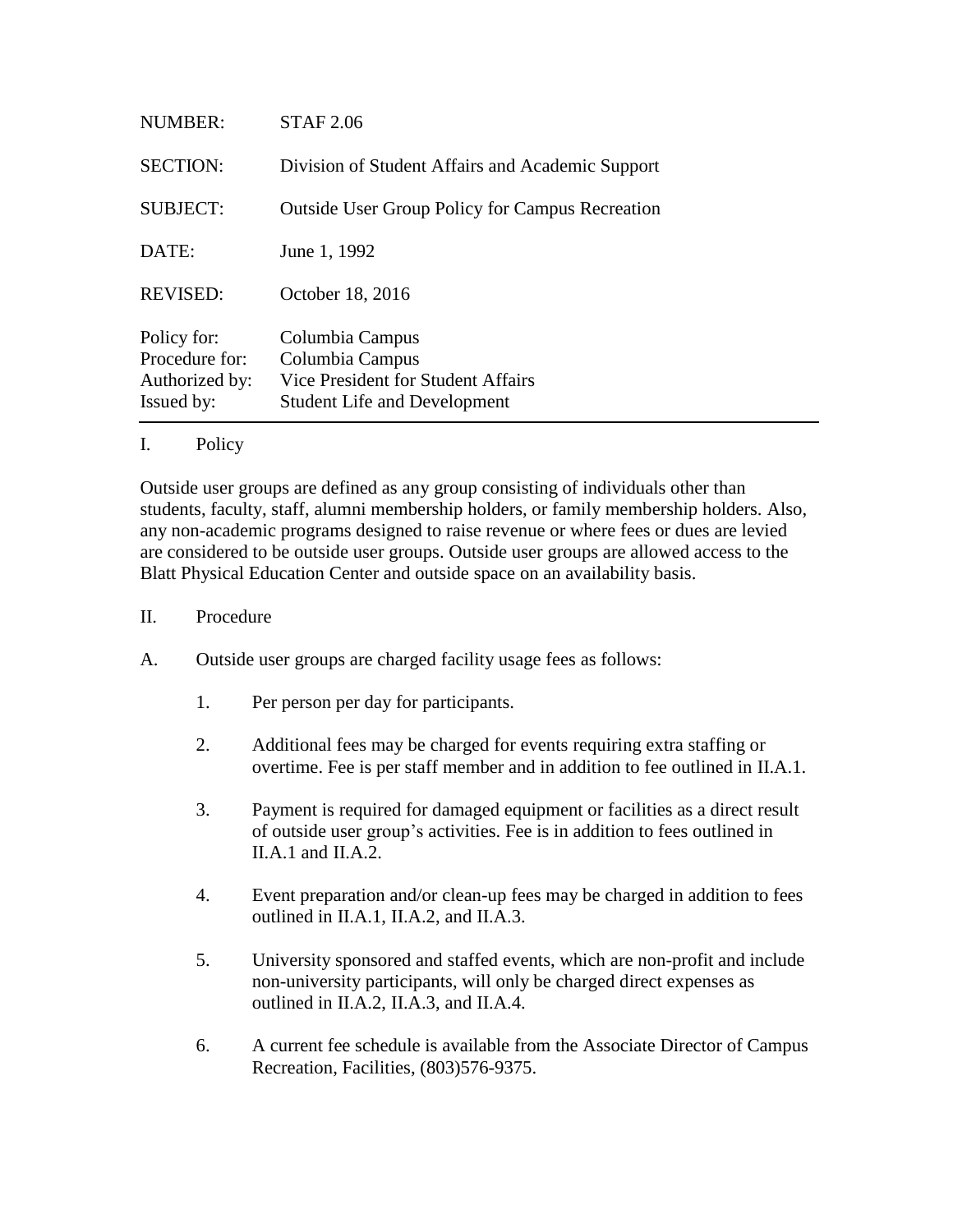| <b>NUMBER:</b>                                                | <b>STAF 2.06</b>                                                                                                |
|---------------------------------------------------------------|-----------------------------------------------------------------------------------------------------------------|
| <b>SECTION:</b>                                               | Division of Student Affairs and Academic Support                                                                |
| <b>SUBJECT:</b>                                               | <b>Outside User Group Policy for Campus Recreation</b>                                                          |
| DATE:                                                         | June 1, 1992                                                                                                    |
| <b>REVISED:</b>                                               | October 18, 2016                                                                                                |
| Policy for:<br>Procedure for:<br>Authorized by:<br>Issued by: | Columbia Campus<br>Columbia Campus<br>Vice President for Student Affairs<br><b>Student Life and Development</b> |

## I. Policy

Outside user groups are defined as any group consisting of individuals other than students, faculty, staff, alumni membership holders, or family membership holders. Also, any non-academic programs designed to raise revenue or where fees or dues are levied are considered to be outside user groups. Outside user groups are allowed access to the Blatt Physical Education Center and outside space on an availability basis.

## II. Procedure

- A. Outside user groups are charged facility usage fees as follows:
	- 1. Per person per day for participants.
	- 2. Additional fees may be charged for events requiring extra staffing or overtime. Fee is per staff member and in addition to fee outlined in II.A.1.
	- 3. Payment is required for damaged equipment or facilities as a direct result of outside user group's activities. Fee is in addition to fees outlined in II.A.1 and II.A.2.
	- 4. Event preparation and/or clean-up fees may be charged in addition to fees outlined in II.A.1, II.A.2, and II.A.3.
	- 5. University sponsored and staffed events, which are non-profit and include non-university participants, will only be charged direct expenses as outlined in II.A.2, II.A.3, and II.A.4.
	- 6. A current fee schedule is available from the Associate Director of Campus Recreation, Facilities, (803)576-9375.